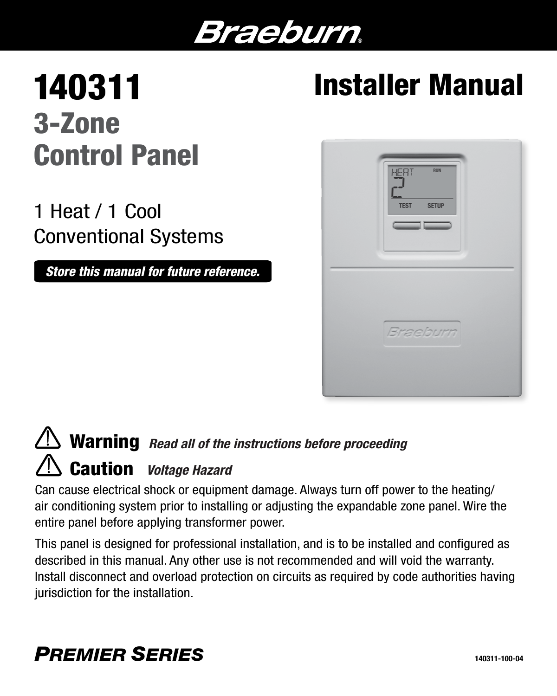# Braeburn.

# 140311 3-Zone Control Panel

1 Heat / 1 Cool Conventional Systems

*Store this manual for future reference.*

# Installer Manual



# **Warning** *Read all of the instructions before proceeding* Caution *Voltage Hazard*

Can cause electrical shock or equipment damage. Always turn off power to the heating/ air conditioning system prior to installing or adjusting the expandable zone panel. Wire the entire panel before applying transformer power.

This panel is designed for professional installation, and is to be installed and configured as described in this manual. Any other use is not recommended and will void the warranty. Install disconnect and overload protection on circuits as required by code authorities having jurisdiction for the installation.

### *PREMIER SERIES*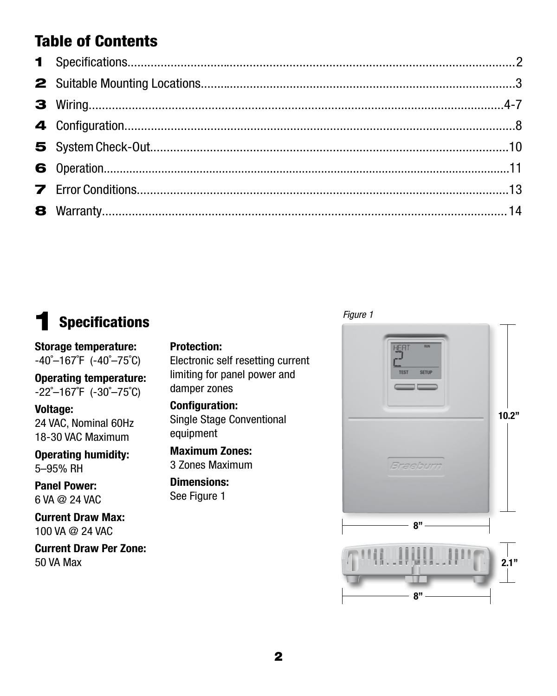### Table of Contents

### **Specifications**

#### Protection:

Storage temperature:  $-40^{\circ}-167^{\circ}$ F ( $-40^{\circ}-75^{\circ}$ C)

Operating temperature: -22˚–167˚F (-30˚–75˚C)

#### Voltage:

24 VAC, Nominal 60Hz 18-30 VAC Maximum

Operating humidity: 5–95% RH

Panel Power: 6 VA @ 24 VAC

Current Draw Max: 100 VA @ 24 VAC

Current Draw Per Zone:

Electronic self resetting current limiting for panel power and

damper zones

Configuration: Single Stage Conventional equipment

Maximum Zones: 3 Zones Maximum

Dimensions: See Figure 1



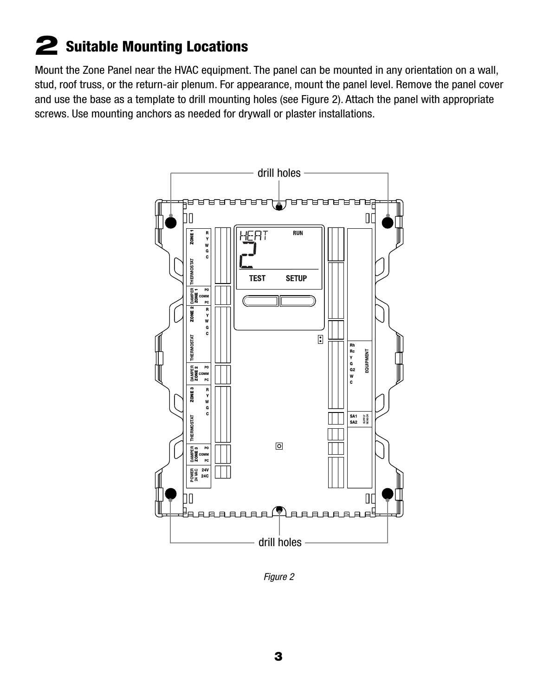### 2 Suitable Mounting Locations

Mount the Zone Panel near the HVAC equipment. The panel can be mounted in any orientation on a wall, stud, roof truss, or the return-air plenum. For appearance, mount the panel level. Remove the panel cover and use the base as a template to drill mounting holes (see Figure 2). Attach the panel with appropriate screws. Use mounting anchors as needed for drywall or plaster installations.



*Figure 2*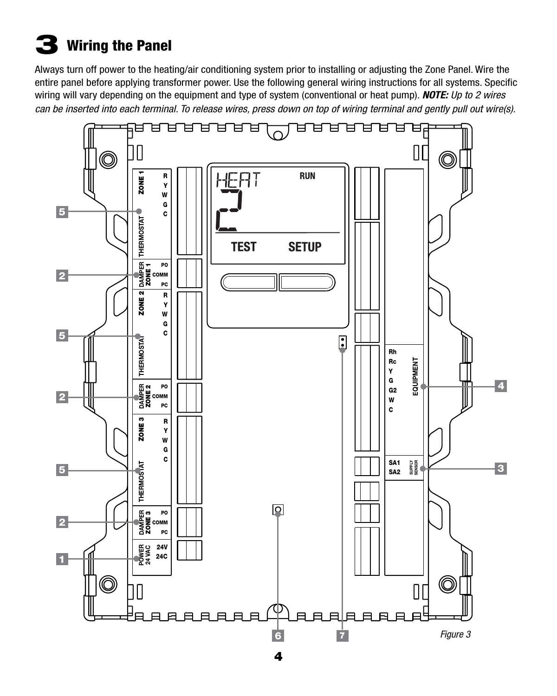# $\bf{3}$  Wiring the Panel

Always turn off power to the heating/air conditioning system prior to installing or adjusting the Zone Panel. Wire the entire panel before applying transformer power. Use the following general wiring instructions for all systems. Specific wiring will vary depending on the equipment and type of system (conventional or heat pump). *NOTE: Up to 2 wires can be inserted into each terminal. To release wires, press down on top of wiring terminal and gently pull out wire(s).*

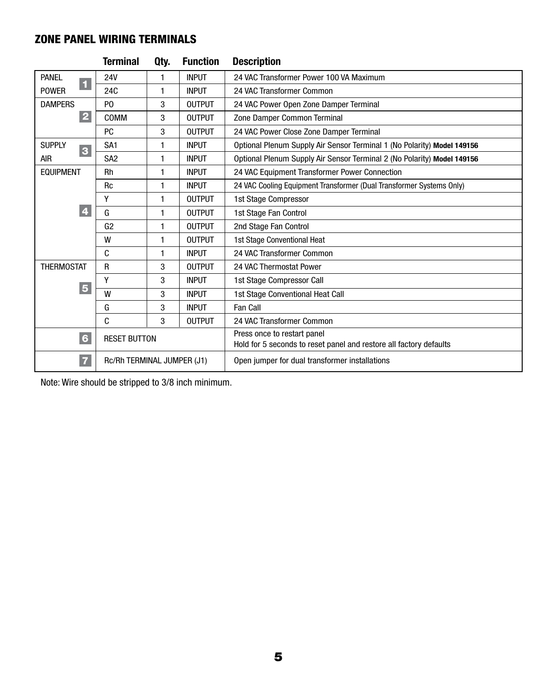#### ZONE PANEL WIRING TERMINALS

|                                          | <b>Terminal</b>            | Qty.         | <b>Function</b> | <b>Description</b>                                                      |  |  |
|------------------------------------------|----------------------------|--------------|-----------------|-------------------------------------------------------------------------|--|--|
| PANEL                                    | <b>24V</b>                 | 1            | <b>INPUT</b>    | 24 VAC Transformer Power 100 VA Maximum                                 |  |  |
| $\blacksquare$<br><b>POWER</b>           | <b>24C</b>                 | 1            | <b>INPUT</b>    | 24 VAC Transformer Common                                               |  |  |
| <b>DAMPERS</b>                           | P <sub>0</sub>             | 3            | <b>OUTPUT</b>   | 24 VAC Power Open Zone Damper Terminal                                  |  |  |
| $\overline{\mathbf{2}}$                  | COMM                       | 3            | <b>OUTPUT</b>   | Zone Damper Common Terminal                                             |  |  |
|                                          | PC                         | 3            | <b>OUTPUT</b>   | 24 VAC Power Close Zone Damper Terminal                                 |  |  |
| <b>SUPPLY</b><br>$\overline{\mathbf{3}}$ | SA <sub>1</sub>            | 1            | <b>INPUT</b>    | Optional Plenum Supply Air Sensor Terminal 1 (No Polarity) Model 149156 |  |  |
| <b>AIR</b>                               | SA <sub>2</sub>            | 1            | <b>INPUT</b>    | Optional Plenum Supply Air Sensor Terminal 2 (No Polarity) Model 149156 |  |  |
| <b>EQUIPMENT</b>                         | Rh                         | 1            | <b>INPUT</b>    | 24 VAC Equipment Transformer Power Connection                           |  |  |
|                                          | <b>Rc</b>                  | 1            | <b>INPUT</b>    | 24 VAC Cooling Equipment Transformer (Dual Transformer Systems Only)    |  |  |
|                                          | Υ                          | 1            | <b>OUTPUT</b>   | 1st Stage Compressor                                                    |  |  |
| 4                                        | G                          | $\mathbf{1}$ | <b>OUTPUT</b>   | 1st Stage Fan Control                                                   |  |  |
|                                          | G <sub>2</sub>             | 1            | <b>OUTPUT</b>   | 2nd Stage Fan Control                                                   |  |  |
|                                          | W                          | 1            | <b>OUTPUT</b>   | 1st Stage Conventional Heat                                             |  |  |
|                                          | C                          | 1            | <b>INPUT</b>    | 24 VAC Transformer Common                                               |  |  |
| <b>THERMOSTAT</b>                        | R                          | 3            | <b>OUTPUT</b>   | 24 VAC Thermostat Power                                                 |  |  |
|                                          | γ                          | 3            | <b>INPUT</b>    | 1st Stage Compressor Call                                               |  |  |
| $\overline{\mathbf{5}}$                  | W                          | 3            | <b>INPUT</b>    | 1st Stage Conventional Heat Call                                        |  |  |
|                                          | G                          | 3            | <b>INPUT</b>    | Fan Call                                                                |  |  |
|                                          | C                          | 3            | <b>OUTPUT</b>   | 24 VAC Transformer Common                                               |  |  |
| $6\phantom{a}$                           | <b>RESET BUTTON</b>        |              |                 | Press once to restart panel                                             |  |  |
|                                          |                            |              |                 | Hold for 5 seconds to reset panel and restore all factory defaults      |  |  |
| 7                                        | Rc/Rh TERMINAL JUMPER (J1) |              |                 | Open jumper for dual transformer installations                          |  |  |

Note: Wire should be stripped to 3/8 inch minimum.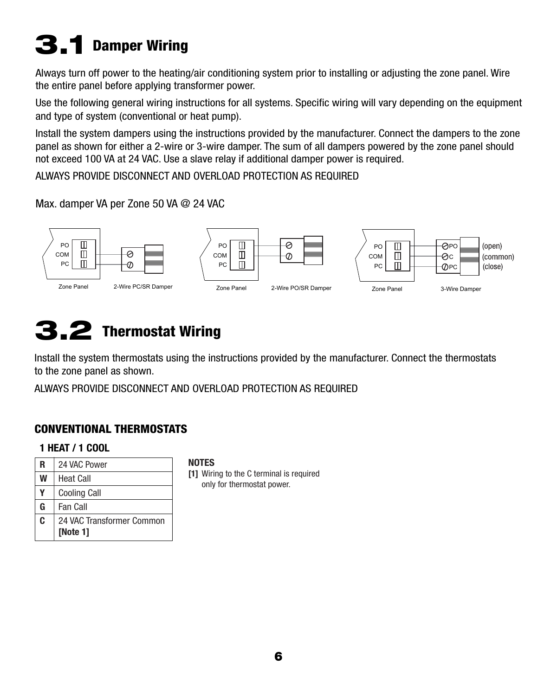# 3.1 Damper Wiring

Always turn off power to the heating/air conditioning system prior to installing or adjusting the zone panel. Wire the entire panel before applying transformer power.

Use the following general wiring instructions for all systems. Specific wiring will vary depending on the equipment and type of system (conventional or heat pump).

Install the system dampers using the instructions provided by the manufacturer. Connect the dampers to the zone panel as shown for either a 2-wire or 3-wire damper. The sum of all dampers powered by the zone panel should not exceed 100 VA at 24 VAC. Use a slave relay if additional damper power is required.

ALWAYS PROVIDE DISCONNECT AND OVERLOAD PROTECTION AS REQUIRED

#### Max. damper VA per Zone 50 VA @ 24 VAC



### 3.2 Thermostat Wiring

Install the system thermostats using the instructions provided by the manufacturer. Connect the thermostats to the zone panel as shown.

ALWAYS PROVIDE DISCONNECT AND OVERLOAD PROTECTION AS REQUIRED

#### CONVENTIONAL THERMOSTATS

#### 1 HEAT / 1 COOL

| R | 24 VAC Power              |
|---|---------------------------|
| W | <b>Heat Call</b>          |
|   | <b>Cooling Call</b>       |
| G | <b>Fan Call</b>           |
| C | 24 VAC Transformer Common |
|   | [Note 1]                  |

#### **NOTES**

[1] Wiring to the C terminal is required only for thermostat power.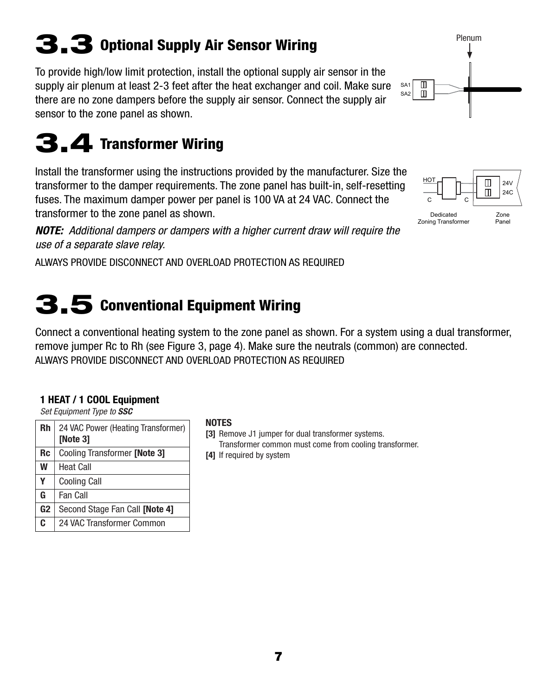# 3.3 Optional Supply Air Sensor Wiring

To provide high/low limit protection, install the optional supply air sensor in the supply air plenum at least 2-3 feet after the heat exchanger and coil. Make sure there are no zone dampers before the supply air sensor. Connect the supply air sensor to the zone panel as shown.

### 3.4 Transformer Wiring

Install the transformer using the instructions provided by the manufacturer. Size the transformer to the damper requirements. The zone panel has built-in, self-resetting fuses. The maximum damper power per panel is 100 VA at 24 VAC. Connect the transformer to the zone panel as shown.

*NOTE: Additional dampers or dampers with a higher current draw will require the use of a separate slave relay.*

ALWAYS PROVIDE DISCONNECT AND OVERLOAD PROTECTION AS REQUIRED

### 3.5 Conventional Equipment Wiring

Connect a conventional heating system to the zone panel as shown. For a system using a dual transformer, remove jumper Rc to Rh (see Figure 3, page 4). Make sure the neutrals (common) are connected. ALWAYS PROVIDE DISCONNECT AND OVERLOAD PROTECTION AS REQUIRED

#### 1 HEAT / 1 COOL Equipment

*Set Equipment Type to SSC*

| Rh                   | 24 VAC Power (Heating Transformer)<br>[Note 3] |  |  |  |
|----------------------|------------------------------------------------|--|--|--|
| <b>Rc</b>            | Cooling Transformer [Note 3]                   |  |  |  |
| W                    | <b>Heat Call</b>                               |  |  |  |
| Y                    | <b>Cooling Call</b>                            |  |  |  |
| G<br><b>Fan Call</b> |                                                |  |  |  |
| G <sub>2</sub>       | Second Stage Fan Call [Note 4]                 |  |  |  |
| C                    | 24 VAC Transformer Common                      |  |  |  |

#### NOTES

[3] Remove J1 jumper for dual transformer systems. Transformer common must come from cooling transformer. [4] If required by system



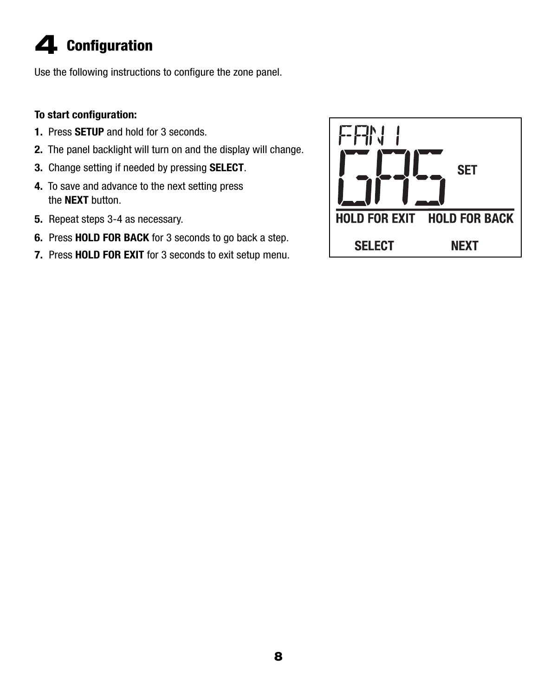# 4 Configuration

Use the following instructions to configure the zone panel.

#### To start configuration:

- 1. Press **SETUP** and hold for 3 seconds.
- 2. The panel backlight will turn on and the display will change.
- 3. Change setting if needed by pressing SELECT.
- 4. To save and advance to the next setting press the **NEXT** button.
- 5. Repeat steps 3-4 as necessary.
- 6. Press HOLD FOR BACK for 3 seconds to go back a step.
- 7. Press HOLD FOR EXIT for 3 seconds to exit setup menu.

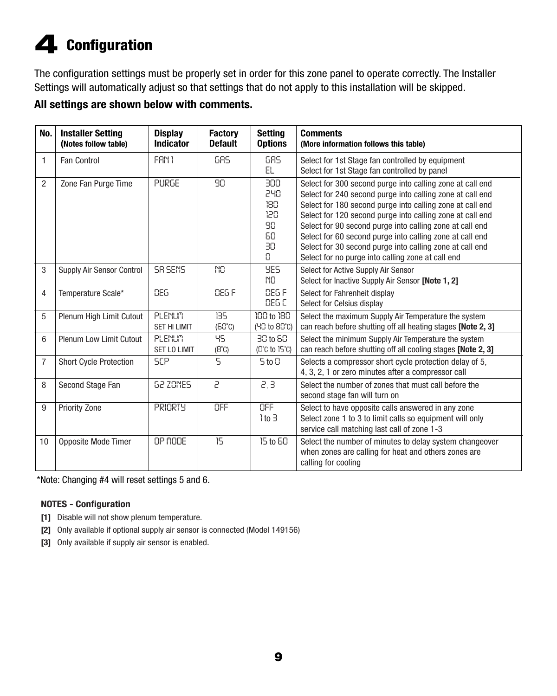# 4 Configuration

The configuration settings must be properly set in order for this zone panel to operate correctly. The Installer Settings will automatically adjust so that settings that do not apply to this installation will be skipped.

#### All settings are shown below with comments.

| No.            | <b>Installer Setting</b><br>(Notes follow table) | <b>Display</b><br><b>Indicator</b> | <b>Factory</b><br><b>Default</b> | <b>Setting</b><br><b>Options</b>                | <b>Comments</b><br>(More information follows this table)                                                                                                                                                                                                                                                                                                                                                                                                                                  |
|----------------|--------------------------------------------------|------------------------------------|----------------------------------|-------------------------------------------------|-------------------------------------------------------------------------------------------------------------------------------------------------------------------------------------------------------------------------------------------------------------------------------------------------------------------------------------------------------------------------------------------------------------------------------------------------------------------------------------------|
| $\mathbf{1}$   | <b>Fan Control</b>                               | FAN 1                              | 68S                              | GRS<br>EL                                       | Select for 1st Stage fan controlled by equipment<br>Select for 1st Stage fan controlled by panel                                                                                                                                                                                                                                                                                                                                                                                          |
| $\overline{c}$ | Zone Fan Purge Time                              | PURGE                              | 90                               | 300<br>240<br>180<br>120<br>90<br>60<br>30<br>0 | Select for 300 second purge into calling zone at call end<br>Select for 240 second purge into calling zone at call end<br>Select for 180 second purge into calling zone at call end<br>Select for 120 second purge into calling zone at call end<br>Select for 90 second purge into calling zone at call end<br>Select for 60 second purge into calling zone at call end<br>Select for 30 second purge into calling zone at call end<br>Select for no purge into calling zone at call end |
| 3              | Supply Air Sensor Control                        | SR SENS                            | NO                               | <b>YES</b><br>NO.                               | Select for Active Supply Air Sensor<br>Select for Inactive Supply Air Sensor [Note 1, 2]                                                                                                                                                                                                                                                                                                                                                                                                  |
| 4              | Temperature Scale*                               | DEG.                               | DEG F                            | DEG F<br>DEG C                                  | Select for Fahrenheit display<br>Select for Celsius display                                                                                                                                                                                                                                                                                                                                                                                                                               |
| 5              | Plenum High Limit Cutout                         | PLENUM<br><b>SET HI LIMIT</b>      | 135<br>$(50^{\circ}C)$           | 100 to 180<br>(40 to 80°C)                      | Select the maximum Supply Air Temperature the system<br>can reach before shutting off all heating stages [Note 2, 3]                                                                                                                                                                                                                                                                                                                                                                      |
| 6              | Plenum Low Limit Cutout                          | PLENUM<br><b>SET LO LIMIT</b>      | 95<br>$(B^{\circ}C)$             | 30 to 60<br>$(C^cC$ to $15^cC)$                 | Select the minimum Supply Air Temperature the system<br>can reach before shutting off all cooling stages [Note 2, 3]                                                                                                                                                                                                                                                                                                                                                                      |
| $\overline{7}$ | <b>Short Cycle Protection</b>                    | <b>SCP</b>                         | 5                                | $5$ to $0$                                      | Selects a compressor short cycle protection delay of 5,<br>4, 3, 2, 1 or zero minutes after a compressor call                                                                                                                                                                                                                                                                                                                                                                             |
| 8              | Second Stage Fan                                 | <b>62 ZONES</b>                    | 5                                | 2, 3                                            | Select the number of zones that must call before the<br>second stage fan will turn on                                                                                                                                                                                                                                                                                                                                                                                                     |
| 9              | Priority Zone                                    | <b>PRIORTY</b>                     | OFF                              | OFF<br>$1$ to $3$                               | Select to have opposite calls answered in any zone<br>Select zone 1 to 3 to limit calls so equipment will only<br>service call matching last call of zone 1-3                                                                                                                                                                                                                                                                                                                             |
| 10             | Opposite Mode Timer                              | OP NODE                            | 15                               | 15 to 60                                        | Select the number of minutes to delay system changeover<br>when zones are calling for heat and others zones are<br>calling for cooling                                                                                                                                                                                                                                                                                                                                                    |

\*Note: Changing #4 will reset settings 5 and 6.

#### NOTES - Configuration

- [1] Disable will not show plenum temperature.
- [2] Only available if optional supply air sensor is connected (Model 149156)
- [3] Only available if supply air sensor is enabled.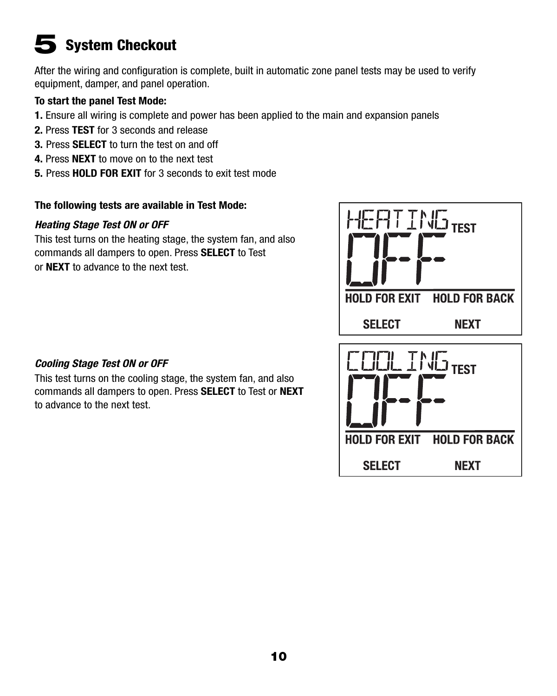### **System Checkout**

After the wiring and configuration is complete, built in automatic zone panel tests may be used to verify equipment, damper, and panel operation.

#### To start the panel Test Mode:

- 1. Ensure all wiring is complete and power has been applied to the main and expansion panels
- 2. Press TEST for 3 seconds and release
- 3. Press **SELECT** to turn the test on and off
- 4. Press **NEXT** to move on to the next test
- 5. Press HOLD FOR EXIT for 3 seconds to exit test mode

#### The following tests are available in Test Mode:

#### *Heating Stage Test ON or OFF*

This test turns on the heating stage, the system fan, and also commands all dampers to open. Press SELECT to Test or NEXT to advance to the next test.



#### *Cooling Stage Test ON or OFF*

This test turns on the cooling stage, the system fan, and also commands all dampers to open. Press SELECT to Test or NEXT to advance to the next test.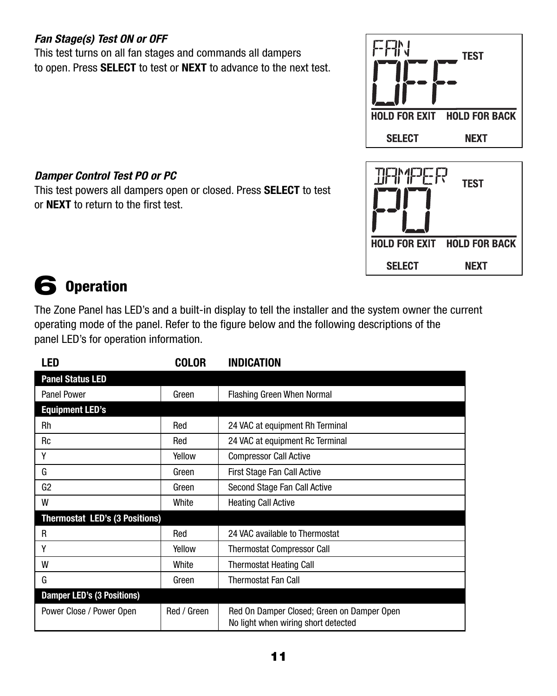#### *Fan Stage(s) Test ON or OFF*

This test turns on all fan stages and commands all dampers to open. Press SELECT to test or NEXT to advance to the next test.





#### *Damper Control Test PO or PC*

This test powers all dampers open or closed. Press SELECT to test or NEXT to return to the first test.

### 6 Operation

The Zone Panel has LED's and a built-in display to tell the installer and the system owner the current operating mode of the panel. Refer to the figure below and the following descriptions of the panel LED's for operation information.

| LED                               | <b>COLOR</b> | <b>INDICATION</b>                                                                 |
|-----------------------------------|--------------|-----------------------------------------------------------------------------------|
| <b>Panel Status LED</b>           |              |                                                                                   |
| <b>Panel Power</b>                | Green        | Flashing Green When Normal                                                        |
| <b>Equipment LED's</b>            |              |                                                                                   |
| Rh                                | Red          | 24 VAC at equipment Rh Terminal                                                   |
| <b>Rc</b>                         | Red          | 24 VAC at equipment Rc Terminal                                                   |
| Υ                                 | Yellow       | <b>Compressor Call Active</b>                                                     |
| G                                 | Green        | First Stage Fan Call Active                                                       |
| G <sub>2</sub>                    | Green        | Second Stage Fan Call Active                                                      |
| W                                 | White        | <b>Heating Call Active</b>                                                        |
| Thermostat LED's (3 Positions)    |              |                                                                                   |
| R                                 | Red          | 24 VAC available to Thermostat                                                    |
| γ                                 | Yellow       | <b>Thermostat Compressor Call</b>                                                 |
| W                                 | White        | <b>Thermostat Heating Call</b>                                                    |
| G                                 | Green        | <b>Thermostat Fan Call</b>                                                        |
| <b>Damper LED's (3 Positions)</b> |              |                                                                                   |
| Power Close / Power Open          | Red / Green  | Red On Damper Closed; Green on Damper Open<br>No light when wiring short detected |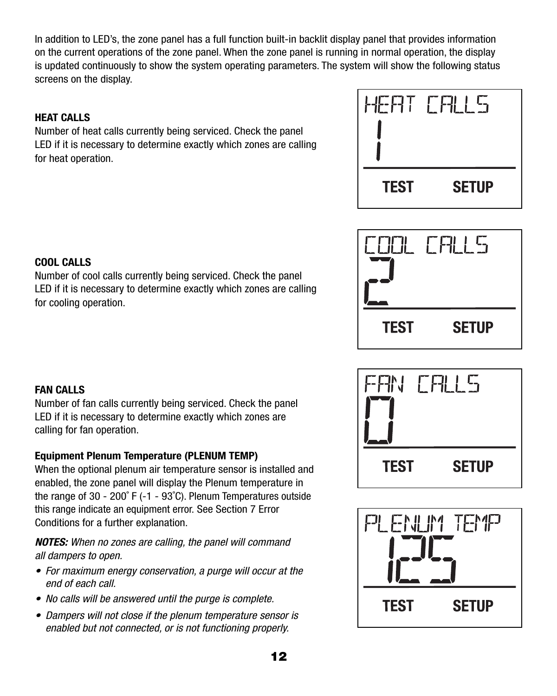In addition to LED's, the zone panel has a full function built-in backlit display panel that provides information on the current operations of the zone panel. When the zone panel is running in normal operation, the display is updated continuously to show the system operating parameters. The system will show the following status screens on the display.

#### HEAT CALLS

Number of heat calls currently being serviced. Check the panel LED if it is necessary to determine exactly which zones are calling for heat operation.







Number of cool calls currently being serviced. Check the panel LED if it is necessary to determine exactly which zones are calling for cooling operation.

#### FAN CALLS

Number of fan calls currently being serviced. Check the panel LED if it is necessary to determine exactly which zones are calling for fan operation.

#### Equipment Plenum Temperature (PLENUM TEMP)

When the optional plenum air temperature sensor is installed and enabled, the zone panel will display the Plenum temperature in the range of 30 - 200˚ F (-1 - 93˚C). Plenum Temperatures outside this range indicate an equipment error. See Section 7 Error Conditions for a further explanation.

*NOTES: When no zones are calling, the panel will command all dampers to open.* 

- *For maximum energy conservation, a purge will occur at the end of each call.*
- *No calls will be answered until the purge is complete.*
- *Dampers will not close if the plenum temperature sensor is enabled but not connected, or is not functioning properly.*



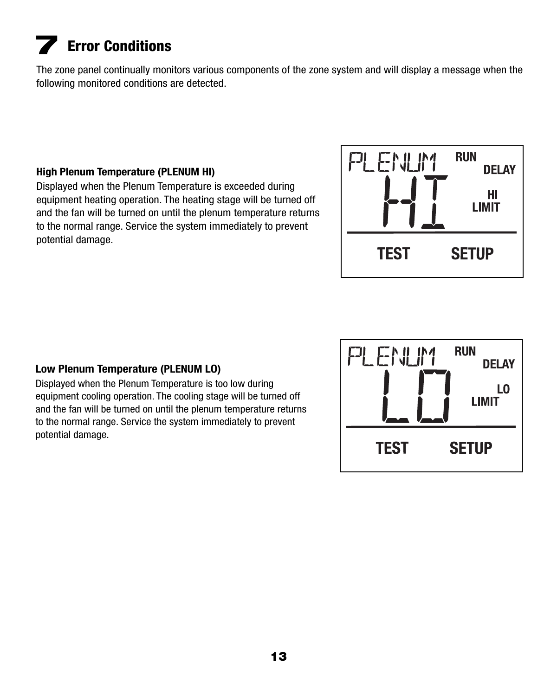# **Error Conditions**

The zone panel continually monitors various components of the zone system and will display a message when the following monitored conditions are detected.

#### High Plenum Temperature (PLENUM HI)

Displayed when the Plenum Temperature is exceeded during equipment heating operation. The heating stage will be turned off and the fan will be turned on until the plenum temperature returns to the normal range. Service the system immediately to prevent potential damage.



#### Low Plenum Temperature (PLENUM LO)

Displayed when the Plenum Temperature is too low during equipment cooling operation. The cooling stage will be turned off and the fan will be turned on until the plenum temperature returns to the normal range. Service the system immediately to prevent potential damage.